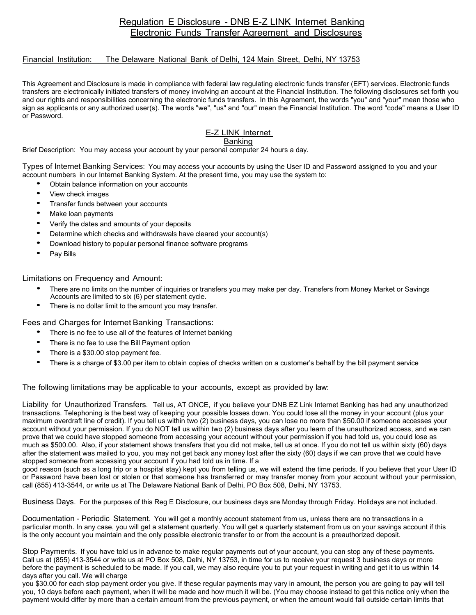## Regulation E Disclosure - DNB E-Z LINK Internet Banking Electronic Funds Transfer Agreement and Disclosures

## Financial Institution: The Delaware National Bank of Delhi, 124 Main Street, Delhi, NY 13753

This Agreement and Disclosure is made in compliance with federal law regulating electronic funds transfer (EFT) services. Electronic funds transfers are electronically initiated transfers of money involving an account at the Financial Institution. The following disclosures set forth you and our rights and responsibilities concerning the electronic funds transfers. In this Agreement, the words "you" and "your" mean those who sign as applicants or any authorized user(s). The words "we", "us" and "our" mean the Financial Institution. The word "code" means a User ID or Password.

E-Z LINK Internet

## **Banking**

Brief Description: You may access your account by your personal computer 24 hours a day.

Types of Internet Banking Services: You may access your accounts by using the User ID and Password assigned to you and your account numbers in our Internet Banking System. At the present time, you may use the system to:

- Obtain balance information on your accounts
- View check images
- Transfer funds between your accounts
- Make loan payments
- Verify the dates and amounts of your deposits
- Determine which checks and withdrawals have cleared your account(s)
- Download history to popular personal finance software programs
- Pav Bills

Limitations on Frequency and Amount:

- There are no limits on the number of inquiries or transfers you may make per day. Transfers from Money Market or Savings Accounts are limited to six (6) per statement cycle.
- There is no dollar limit to the amount you may transfer.

Fees and Charges for Internet Banking Transactions:

- There is no fee to use all of the features of Internet banking
- There is no fee to use the Bill Payment option
- There is a \$30.00 stop payment fee.
- There is a charge of \$3.00 per item to obtain copies of checks written on <sup>a</sup> customer's behalf by the bill payment service

The following limitations may be applicable to your accounts, except as provided by law:

Liability for Unauthorized Transfers. Tell us, AT ONCE, if you believe your DNB EZ Link Internet Banking has had any unauthorized transactions. Telephoning is the best way of keeping your possible losses down. You could lose all the money in your account (plus your maximum overdraft line of credit). If you tell us within two (2) business days, you can lose no more than \$50.00 if someone accesses your account without your permission. If you do NOT tell us within two (2) business days after you learn of the unauthorized access, and we can prove that we could have stopped someone from accessing your account without your permission if you had told us, you could lose as much as \$500.00. Also, if your statement shows transfers that you did not make, tell us at once. If you do not tell us within sixty (60) days after the statement was mailed to you, you may not get back any money lost after the sixty (60) days if we can prove that we could have stopped someone from accessing your account if you had told us in time. If a

good reason (such as a long trip or a hospital stay) kept you from telling us, we will extend the time periods. If you believe that your User ID or Password have been lost or stolen or that someone has transferred or may transfer money from your account without your permission, call (855) 413-3544, or write us at The Delaware National Bank of Delhi, PO Box 508, Delhi, NY 13753.

Business Days. For the purposes of this Reg E Disclosure, our business days are Monday through Friday. Holidays are not included.

Documentation - Periodic Statement. You will get a monthly account statement from us, unless there are no transactions in a particular month. In any case, you will get a statement quarterly. You will get a quarterly statement from us on your savings account if this is the only account you maintain and the only possible electronic transfer to or from the account is a preauthorized deposit.

Stop Payments. If you have told us in advance to make regular payments out of your account, you can stop any of these payments. Call us at (855) 413-3544 or write us at PO Box 508, Delhi, NY 13753, in time for us to receive your request 3 business days or more before the payment is scheduled to be made. If you call, we may also require you to put your request in writing and get it to us within 14 days after you call. We will charge

you \$30.00 for each stop payment order you give. If these regular payments may vary in amount, the person you are going to pay will tell you, 10 days before each payment, when it will be made and how much it will be. (You may choose instead to get this notice only when the payment would differ by more than a certain amount from the previous payment, or when the amount would fall outside certain limits that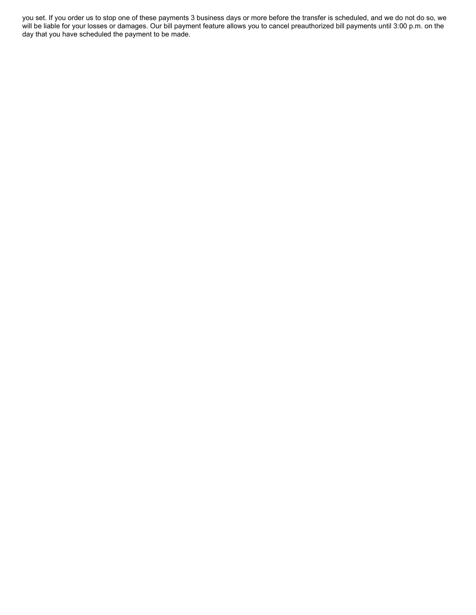you set. If you order us to stop one of these payments 3 business days or more before the transfer is scheduled, and we do not do so, we will be liable for your losses or damages. Our bill payment feature allows you to cancel preauthorized bill payments until 3:00 p.m. on the day that you have scheduled the payment to be made.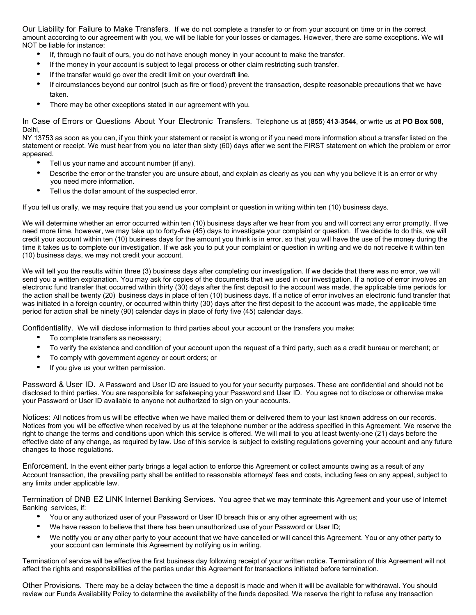Our Liability for Failure to Make Transfers. If we do not complete a transfer to or from your account on time or in the correct amount according to our agreement with you, we will be liable for your losses or damages. However, there are some exceptions. We will NOT be liable for instance:

- If, through no fault of ours, you do not have enough money in your account to make the transfer.
- If the money in your account is subject to legal process or other claim restricting such transfer.
- If the transfer would go over the credit limit on your overdraft line.
- If circumstances beyond our control (such as fire or flood) prevent the transaction, despite reasonable precautions that we have taken.
- There may be other exceptions stated in our agreement with you.

In Case of Errors or Questions About Your Electronic Transfers. Telephone us at (**855**) **413**-**3544**, or write us at **PO Box 508**, Delhi,

NY 13753 as soon as you can, if you think your statement or receipt is wrong or if you need more information about a transfer listed on the statement or receipt. We must hear from you no later than sixty (60) days after we sent the FIRST statement on which the problem or error appeared.

- Tell us your name and account number (if any).
- Describe the error or the transfer you are unsure about, and explain as clearly as you can why you believe it is an error or why you need more information.
- Tell us the dollar amount of the suspected error.

If you tell us orally, we may require that you send us your complaint or question in writing within ten (10) business days.

We will determine whether an error occurred within ten (10) business days after we hear from you and will correct any error promptly. If we need more time, however, we may take up to forty-five (45) days to investigate your complaint or question. If we decide to do this, we will credit your account within ten (10) business days for the amount you think is in error, so that you will have the use of the money during the time it takes us to complete our investigation. If we ask you to put your complaint or question in writing and we do not receive it within ten (10) business days, we may not credit your account.

We will tell you the results within three (3) business days after completing our investigation. If we decide that there was no error, we will send you a written explanation. You may ask for copies of the documents that we used in our investigation. If a notice of error involves an electronic fund transfer that occurred within thirty (30) days after the first deposit to the account was made, the applicable time periods for the action shall be twenty (20) business days in place of ten (10) business days. If a notice of error involves an electronic fund transfer that was initiated in a foreign country, or occurred within thirty (30) days after the first deposit to the account was made, the applicable time period for action shall be ninety (90) calendar days in place of forty five (45) calendar days.

Confidentiality. We will disclose information to third parties about your account or the transfers you make:

- To complete transfers as necessary;
- To verify the existence and condition of your account upon the request of <sup>a</sup> third party, such as <sup>a</sup> credit bureau or merchant; or
- To comply with government agency or court orders; or
- If you give us your written permission.

Password & User ID. A Password and User ID are issued to you for your security purposes. These are confidential and should not be disclosed to third parties. You are responsible for safekeeping your Password and User ID. You agree not to disclose or otherwise make your Password or User ID available to anyone not authorized to sign on your accounts.

Notices: All notices from us will be effective when we have mailed them or delivered them to your last known address on our records. Notices from you will be effective when received by us at the telephone number or the address specified in this Agreement. We reserve the right to change the terms and conditions upon which this service is offered. We will mail to you at least twenty-one (21) days before the effective date of any change, as required by law. Use of this service is subject to existing regulations governing your account and any future changes to those regulations.

Enforcement. In the event either party brings a legal action to enforce this Agreement or collect amounts owing as a result of any Account transaction, the prevailing party shall be entitled to reasonable attorneys' fees and costs, including fees on any appeal, subject to any limits under applicable law.

Termination of DNB EZ LINK Internet Banking Services. You agree that we may terminate this Agreement and your use of Internet Banking services, if:

- You or any authorized user of your Password or User ID breach this or any other agreement with us;
- We have reason to believe that there has been unauthorized use of your Password or User ID;
- We notify you or any other party to your account that we have cancelled or will cancel this Agreement. You or any other party to your account can terminate this Agreement by notifying us in writing.

Termination of service will be effective the first business day following receipt of your written notice. Termination of this Agreement will not affect the rights and responsibilities of the parties under this Agreement for transactions initiated before termination.

Other Provisions. There may be a delay between the time a deposit is made and when it will be available for withdrawal. You should review our Funds Availability Policy to determine the availability of the funds deposited. We reserve the right to refuse any transaction